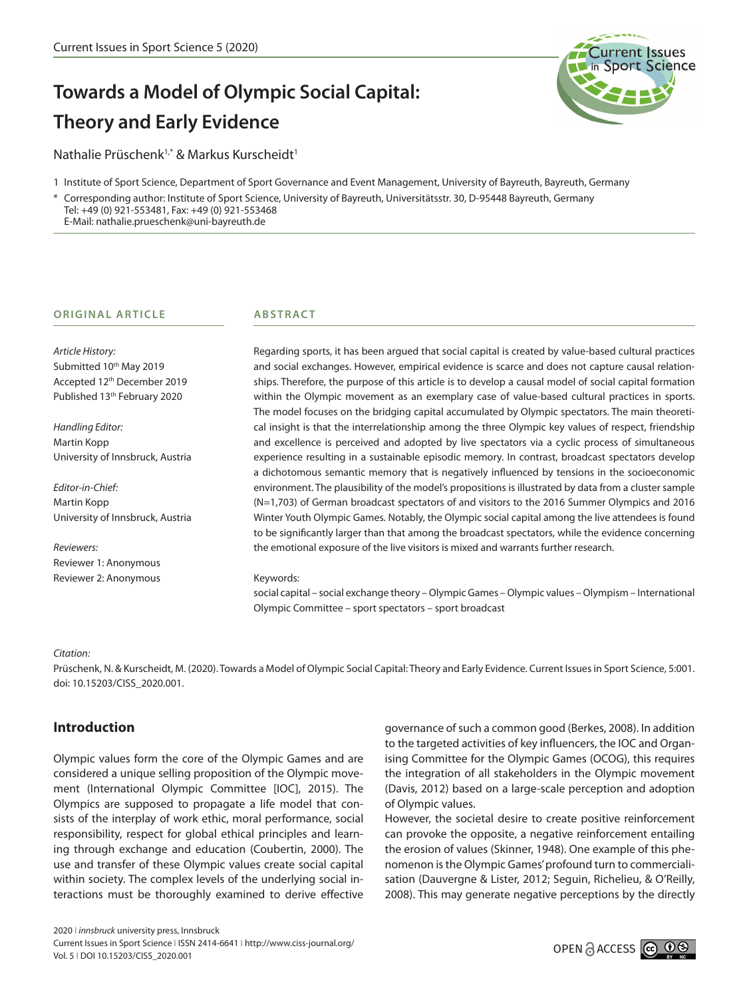# **Towards a Model of Olympic Social Capital: Theory and Early Evidence**

Nathalie Prüschenk<sup>1,\*</sup> & Markus Kurscheidt<sup>1</sup>

1 Institute of Sport Science, Department of Sport Governance and Event Management, University of Bayreuth, Bayreuth, Germany

Corresponding author: Institute of Sport Science, University of Bayreuth, Universitätsstr. 30, D-95448 Bayreuth, Germany Tel: +49 (0) 921-553481, Fax: +49 (0) 921-553468

E-Mail: nathalie.prueschenk@uni-bayreuth.de

#### **ORIGINAL ARTICLE**

*Article History:* Submitted 10<sup>th</sup> May 2019 Accepted 12th December 2019 Published 13<sup>th</sup> February 2020

*Handling Editor:* Martin Kopp University of Innsbruck, Austria

*Editor-in-Chief:* Martin Kopp University of Innsbruck, Austria

*Reviewers:* Reviewer 1: Anonymous Reviewer 2: Anonymous

## **ABSTRACT**

Regarding sports, it has been argued that social capital is created by value-based cultural practices and social exchanges. However, empirical evidence is scarce and does not capture causal relationships. Therefore, the purpose of this article is to develop a causal model of social capital formation within the Olympic movement as an exemplary case of value-based cultural practices in sports. The model focuses on the bridging capital accumulated by Olympic spectators. The main theoretical insight is that the interrelationship among the three Olympic key values of respect, friendship and excellence is perceived and adopted by live spectators via a cyclic process of simultaneous experience resulting in a sustainable episodic memory. In contrast, broadcast spectators develop a dichotomous semantic memory that is negatively influenced by tensions in the socioeconomic environment. The plausibility of the model's propositions is illustrated by data from a cluster sample (N=1,703) of German broadcast spectators of and visitors to the 2016 Summer Olympics and 2016 Winter Youth Olympic Games. Notably, the Olympic social capital among the live attendees is found to be significantly larger than that among the broadcast spectators, while the evidence concerning the emotional exposure of the live visitors is mixed and warrants further research.

#### Keywords:

social capital – social exchange theory – Olympic Games – Olympic values – Olympism – International Olympic Committee – sport spectators – sport broadcast

#### *Citation:*

Prüschenk, N. & Kurscheidt, M. (2020). Towards a Model of Olympic Social Capital: Theory and Early Evidence. Current Issues in Sport Science, 5:001. doi: 10.15203/CISS\_2020.001.

## **Introduction**

Olympic values form the core of the Olympic Games and are considered a unique selling proposition of the Olympic movement (International Olympic Committee [IOC], 2015). The Olympics are supposed to propagate a life model that consists of the interplay of work ethic, moral performance, social responsibility, respect for global ethical principles and learning through exchange and education (Coubertin, 2000). The use and transfer of these Olympic values create social capital within society. The complex levels of the underlying social interactions must be thoroughly examined to derive effective

governance of such a common good (Berkes, 2008). In addition to the targeted activities of key influencers, the IOC and Organising Committee for the Olympic Games (OCOG), this requires the integration of all stakeholders in the Olympic movement (Davis, 2012) based on a large-scale perception and adoption of Olympic values.

However, the societal desire to create positive reinforcement can provoke the opposite, a negative reinforcement entailing the erosion of values (Skinner, 1948). One example of this phenomenon is the Olympic Games' profound turn to commercialisation (Dauvergne & Lister, 2012; Seguin, Richelieu, & O'Reilly, 2008). This may generate negative perceptions by the directly

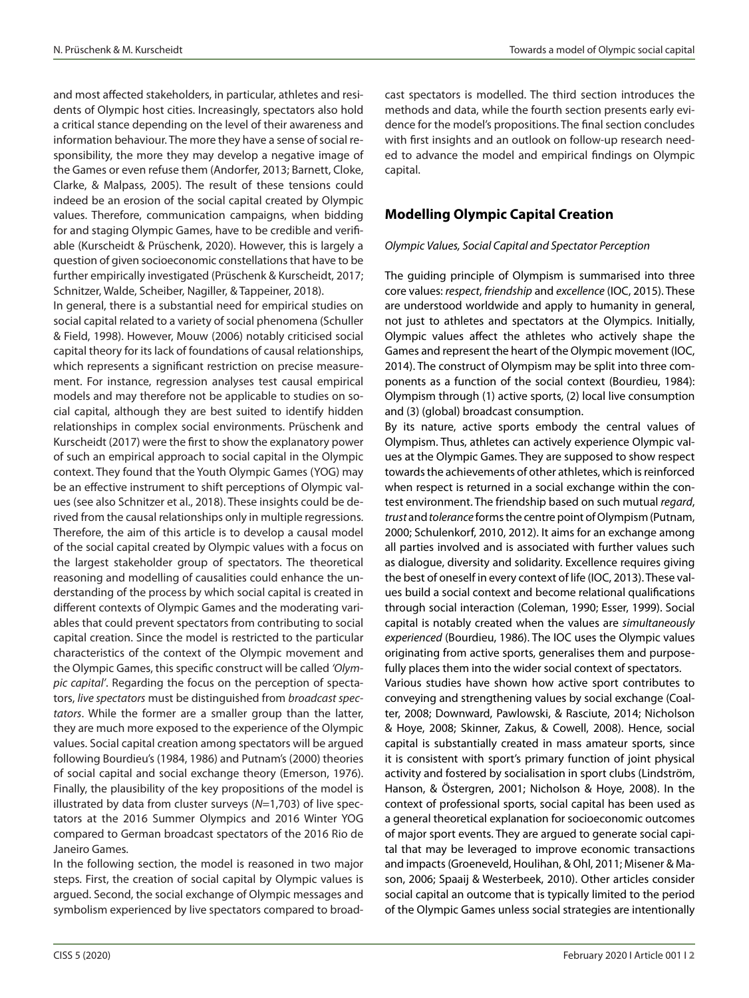and most affected stakeholders, in particular, athletes and residents of Olympic host cities. Increasingly, spectators also hold a critical stance depending on the level of their awareness and information behaviour. The more they have a sense of social responsibility, the more they may develop a negative image of the Games or even refuse them (Andorfer, 2013; Barnett, Cloke, Clarke, & Malpass, 2005). The result of these tensions could indeed be an erosion of the social capital created by Olympic values. Therefore, communication campaigns, when bidding for and staging Olympic Games, have to be credible and verifiable (Kurscheidt & Prüschenk, 2020). However, this is largely a question of given socioeconomic constellations that have to be further empirically investigated (Prüschenk & Kurscheidt, 2017; Schnitzer, Walde, Scheiber, Nagiller, & Tappeiner, 2018).

In general, there is a substantial need for empirical studies on social capital related to a variety of social phenomena (Schuller & Field, 1998). However, Mouw (2006) notably criticised social capital theory for its lack of foundations of causal relationships, which represents a significant restriction on precise measurement. For instance, regression analyses test causal empirical models and may therefore not be applicable to studies on social capital, although they are best suited to identify hidden relationships in complex social environments. Prüschenk and Kurscheidt (2017) were the first to show the explanatory power of such an empirical approach to social capital in the Olympic context. They found that the Youth Olympic Games (YOG) may be an effective instrument to shift perceptions of Olympic values (see also Schnitzer et al., 2018). These insights could be derived from the causal relationships only in multiple regressions. Therefore, the aim of this article is to develop a causal model of the social capital created by Olympic values with a focus on the largest stakeholder group of spectators. The theoretical reasoning and modelling of causalities could enhance the understanding of the process by which social capital is created in different contexts of Olympic Games and the moderating variables that could prevent spectators from contributing to social capital creation. Since the model is restricted to the particular characteristics of the context of the Olympic movement and the Olympic Games, this specific construct will be called *'Olympic capital'*. Regarding the focus on the perception of spectators, *live spectators* must be distinguished from *broadcast spectators*. While the former are a smaller group than the latter, they are much more exposed to the experience of the Olympic values. Social capital creation among spectators will be argued following Bourdieu's (1984, 1986) and Putnam's (2000) theories of social capital and social exchange theory (Emerson, 1976). Finally, the plausibility of the key propositions of the model is illustrated by data from cluster surveys (*N*=1,703) of live spectators at the 2016 Summer Olympics and 2016 Winter YOG compared to German broadcast spectators of the 2016 Rio de Janeiro Games.

In the following section, the model is reasoned in two major steps. First, the creation of social capital by Olympic values is argued. Second, the social exchange of Olympic messages and symbolism experienced by live spectators compared to broadcast spectators is modelled. The third section introduces the methods and data, while the fourth section presents early evidence for the model's propositions. The final section concludes with first insights and an outlook on follow-up research needed to advance the model and empirical findings on Olympic capital.

# **Modelling Olympic Capital Creation**

#### *Olympic Values, Social Capital and Spectator Perception*

The guiding principle of Olympism is summarised into three core values: *respect*, *friendship* and *excellence* (IOC, 2015). These are understood worldwide and apply to humanity in general, not just to athletes and spectators at the Olympics. Initially, Olympic values affect the athletes who actively shape the Games and represent the heart of the Olympic movement (IOC, 2014). The construct of Olympism may be split into three components as a function of the social context (Bourdieu, 1984): Olympism through (1) active sports, (2) local live consumption and (3) (global) broadcast consumption.

By its nature, active sports embody the central values of Olympism. Thus, athletes can actively experience Olympic values at the Olympic Games. They are supposed to show respect towards the achievements of other athletes, which is reinforced when respect is returned in a social exchange within the contest environment. The friendship based on such mutual *regard*, *trust* and *tolerance* forms the centre point of Olympism (Putnam, 2000; Schulenkorf, 2010, 2012). It aims for an exchange among all parties involved and is associated with further values such as dialogue, diversity and solidarity. Excellence requires giving the best of oneself in every context of life (IOC, 2013). These values build a social context and become relational qualifications through social interaction (Coleman, 1990; Esser, 1999). Social capital is notably created when the values are *simultaneously experienced* (Bourdieu, 1986). The IOC uses the Olympic values originating from active sports, generalises them and purposefully places them into the wider social context of spectators.

Various studies have shown how active sport contributes to conveying and strengthening values by social exchange (Coalter, 2008; Downward, Pawlowski, & Rasciute, 2014; Nicholson & Hoye, 2008; Skinner, Zakus, & Cowell, 2008). Hence, social capital is substantially created in mass amateur sports, since it is consistent with sport's primary function of joint physical activity and fostered by socialisation in sport clubs (Lindström, Hanson, & Östergren, 2001; Nicholson & Hoye, 2008). In the context of professional sports, social capital has been used as a general theoretical explanation for socioeconomic outcomes of major sport events. They are argued to generate social capital that may be leveraged to improve economic transactions and impacts (Groeneveld, Houlihan, & Ohl, 2011; Misener & Mason, 2006; Spaaij & Westerbeek, 2010). Other articles consider social capital an outcome that is typically limited to the period of the Olympic Games unless social strategies are intentionally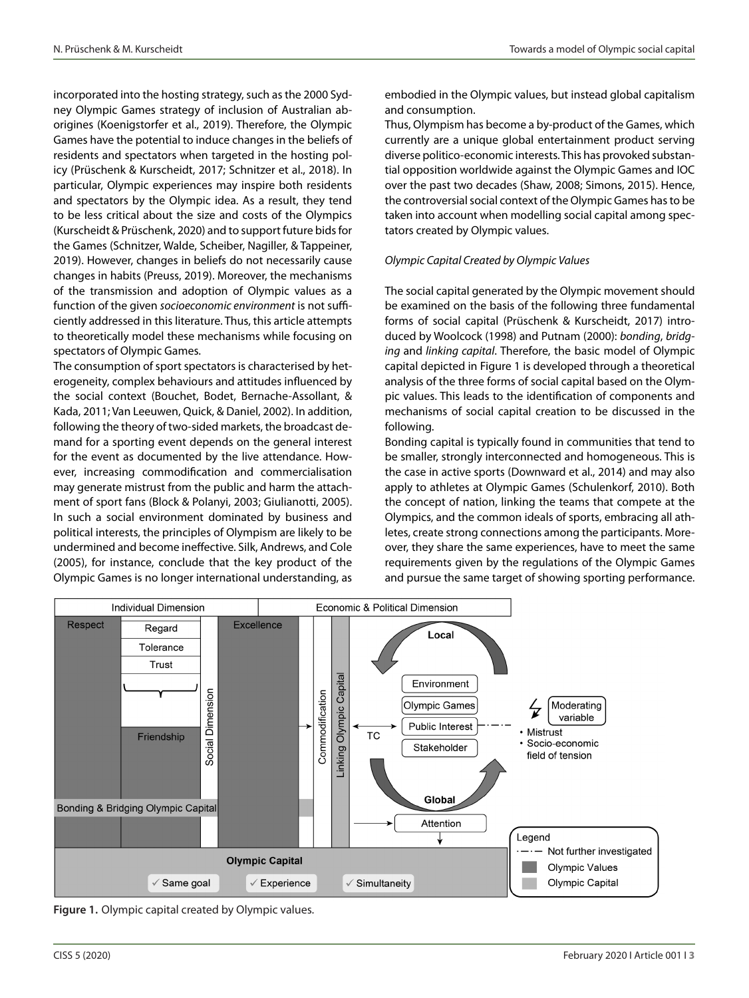incorporated into the hosting strategy, such as the 2000 Sydney Olympic Games strategy of inclusion of Australian aborigines (Koenigstorfer et al., 2019). Therefore, the Olympic Games have the potential to induce changes in the beliefs of residents and spectators when targeted in the hosting policy (Prüschenk & Kurscheidt, 2017; Schnitzer et al., 2018). In particular, Olympic experiences may inspire both residents and spectators by the Olympic idea. As a result, they tend to be less critical about the size and costs of the Olympics (Kurscheidt & Prüschenk, 2020) and to support future bids for the Games (Schnitzer, Walde, Scheiber, Nagiller, & Tappeiner, 2019). However, changes in beliefs do not necessarily cause changes in habits (Preuss, 2019). Moreover, the mechanisms of the transmission and adoption of Olympic values as a function of the given *socioeconomic environment* is not sufficiently addressed in this literature. Thus, this article attempts to theoretically model these mechanisms while focusing on spectators of Olympic Games.

The consumption of sport spectators is characterised by heterogeneity, complex behaviours and attitudes influenced by the social context (Bouchet, Bodet, Bernache-Assollant, & Kada, 2011; Van Leeuwen, Quick, & Daniel, 2002). In addition, following the theory of two-sided markets, the broadcast demand for a sporting event depends on the general interest for the event as documented by the live attendance. However, increasing commodification and commercialisation may generate mistrust from the public and harm the attachment of sport fans (Block & Polanyi, 2003; Giulianotti, 2005). In such a social environment dominated by business and political interests, the principles of Olympism are likely to be undermined and become ineffective. Silk, Andrews, and Cole (2005), for instance, conclude that the key product of the Olympic Games is no longer international understanding, as embodied in the Olympic values, but instead global capitalism and consumption.

Thus, Olympism has become a by-product of the Games, which currently are a unique global entertainment product serving diverse politico-economic interests. This has provoked substantial opposition worldwide against the Olympic Games and IOC over the past two decades (Shaw, 2008; Simons, 2015). Hence, the controversial social context of the Olympic Games has to be taken into account when modelling social capital among spectators created by Olympic values.

#### *Olympic Capital Created by Olympic Values*

The social capital generated by the Olympic movement should be examined on the basis of the following three fundamental forms of social capital (Prüschenk & Kurscheidt, 2017) introduced by Woolcock (1998) and Putnam (2000): *bonding*, *bridging* and *linking capital*. Therefore, the basic model of Olympic capital depicted in Figure 1 is developed through a theoretical analysis of the three forms of social capital based on the Olympic values. This leads to the identification of components and mechanisms of social capital creation to be discussed in the following.

Bonding capital is typically found in communities that tend to be smaller, strongly interconnected and homogeneous. This is the case in active sports (Downward et al., 2014) and may also apply to athletes at Olympic Games (Schulenkorf, 2010). Both the concept of nation, linking the teams that compete at the Olympics, and the common ideals of sports, embracing all athletes, create strong connections among the participants. Moreover, they share the same experiences, have to meet the same requirements given by the regulations of the Olympic Games and pursue the same target of showing sporting performance.



**Figure 1.** Olympic capital created by Olympic values.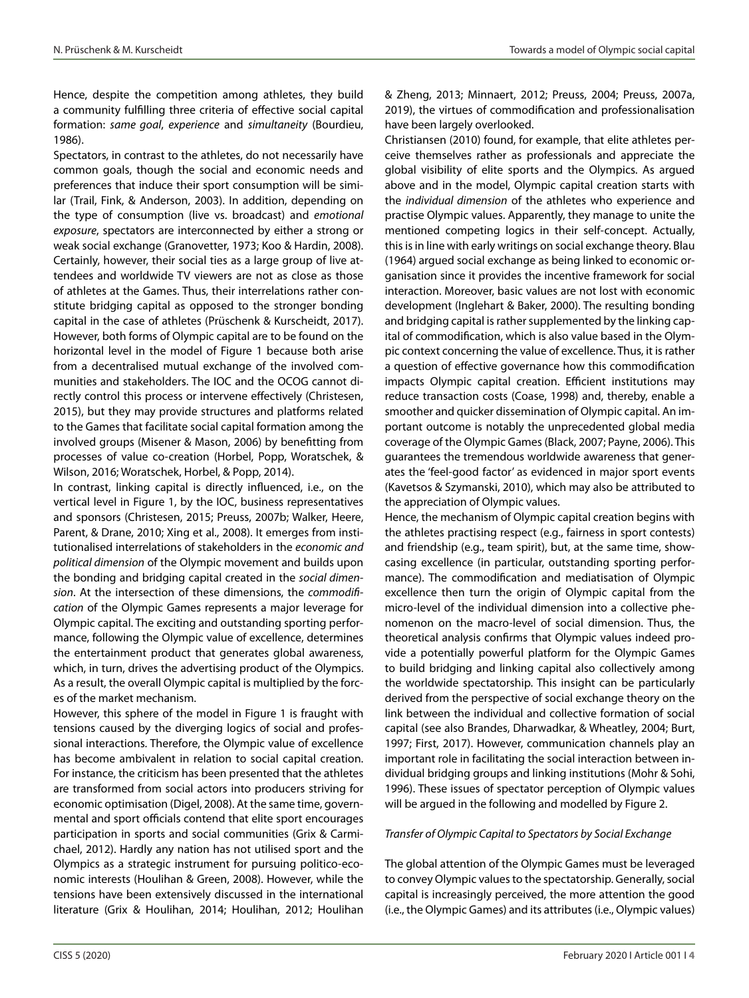Hence, despite the competition among athletes, they build a community fulfilling three criteria of effective social capital formation: *same goal*, *experience* and *simultaneity* (Bourdieu, 1986).

Spectators, in contrast to the athletes, do not necessarily have common goals, though the social and economic needs and preferences that induce their sport consumption will be similar (Trail, Fink, & Anderson, 2003). In addition, depending on the type of consumption (live vs. broadcast) and *emotional exposure*, spectators are interconnected by either a strong or weak social exchange (Granovetter, 1973; Koo & Hardin, 2008). Certainly, however, their social ties as a large group of live attendees and worldwide TV viewers are not as close as those of athletes at the Games. Thus, their interrelations rather constitute bridging capital as opposed to the stronger bonding capital in the case of athletes (Prüschenk & Kurscheidt, 2017). However, both forms of Olympic capital are to be found on the horizontal level in the model of Figure 1 because both arise from a decentralised mutual exchange of the involved communities and stakeholders. The IOC and the OCOG cannot directly control this process or intervene effectively (Christesen, 2015), but they may provide structures and platforms related to the Games that facilitate social capital formation among the involved groups (Misener & Mason, 2006) by benefitting from processes of value co-creation (Horbel, Popp, Woratschek, & Wilson, 2016; Woratschek, Horbel, & Popp, 2014).

In contrast, linking capital is directly influenced, i.e., on the vertical level in Figure 1, by the IOC, business representatives and sponsors (Christesen, 2015; Preuss, 2007b; Walker, Heere, Parent, & Drane, 2010; Xing et al., 2008). It emerges from institutionalised interrelations of stakeholders in the *economic and political dimension* of the Olympic movement and builds upon the bonding and bridging capital created in the *social dimension*. At the intersection of these dimensions, the *commodification* of the Olympic Games represents a major leverage for Olympic capital. The exciting and outstanding sporting performance, following the Olympic value of excellence, determines the entertainment product that generates global awareness, which, in turn, drives the advertising product of the Olympics. As a result, the overall Olympic capital is multiplied by the forces of the market mechanism.

However, this sphere of the model in Figure 1 is fraught with tensions caused by the diverging logics of social and professional interactions. Therefore, the Olympic value of excellence has become ambivalent in relation to social capital creation. For instance, the criticism has been presented that the athletes are transformed from social actors into producers striving for economic optimisation (Digel, 2008). At the same time, governmental and sport officials contend that elite sport encourages participation in sports and social communities (Grix & Carmichael, 2012). Hardly any nation has not utilised sport and the Olympics as a strategic instrument for pursuing politico-economic interests (Houlihan & Green, 2008). However, while the tensions have been extensively discussed in the international literature (Grix & Houlihan, 2014; Houlihan, 2012; Houlihan

& Zheng, 2013; Minnaert, 2012; Preuss, 2004; Preuss, 2007a, 2019), the virtues of commodification and professionalisation have been largely overlooked.

Christiansen (2010) found, for example, that elite athletes perceive themselves rather as professionals and appreciate the global visibility of elite sports and the Olympics. As argued above and in the model, Olympic capital creation starts with the *individual dimension* of the athletes who experience and practise Olympic values. Apparently, they manage to unite the mentioned competing logics in their self-concept. Actually, this is in line with early writings on social exchange theory. Blau (1964) argued social exchange as being linked to economic organisation since it provides the incentive framework for social interaction. Moreover, basic values are not lost with economic development (Inglehart & Baker, 2000). The resulting bonding and bridging capital is rather supplemented by the linking capital of commodification, which is also value based in the Olympic context concerning the value of excellence. Thus, it is rather a question of effective governance how this commodification impacts Olympic capital creation. Efficient institutions may reduce transaction costs (Coase, 1998) and, thereby, enable a smoother and quicker dissemination of Olympic capital. An important outcome is notably the unprecedented global media coverage of the Olympic Games (Black, 2007; Payne, 2006). This guarantees the tremendous worldwide awareness that generates the 'feel-good factor' as evidenced in major sport events (Kavetsos & Szymanski, 2010), which may also be attributed to the appreciation of Olympic values.

Hence, the mechanism of Olympic capital creation begins with the athletes practising respect (e.g., fairness in sport contests) and friendship (e.g., team spirit), but, at the same time, showcasing excellence (in particular, outstanding sporting performance). The commodification and mediatisation of Olympic excellence then turn the origin of Olympic capital from the micro-level of the individual dimension into a collective phenomenon on the macro-level of social dimension. Thus, the theoretical analysis confirms that Olympic values indeed provide a potentially powerful platform for the Olympic Games to build bridging and linking capital also collectively among the worldwide spectatorship. This insight can be particularly derived from the perspective of social exchange theory on the link between the individual and collective formation of social capital (see also Brandes, Dharwadkar, & Wheatley, 2004; Burt, 1997; First, 2017). However, communication channels play an important role in facilitating the social interaction between individual bridging groups and linking institutions (Mohr & Sohi, 1996). These issues of spectator perception of Olympic values will be argued in the following and modelled by Figure 2.

## *Transfer of Olympic Capital to Spectators by Social Exchange*

The global attention of the Olympic Games must be leveraged to convey Olympic values to the spectatorship. Generally, social capital is increasingly perceived, the more attention the good (i.e., the Olympic Games) and its attributes (i.e., Olympic values)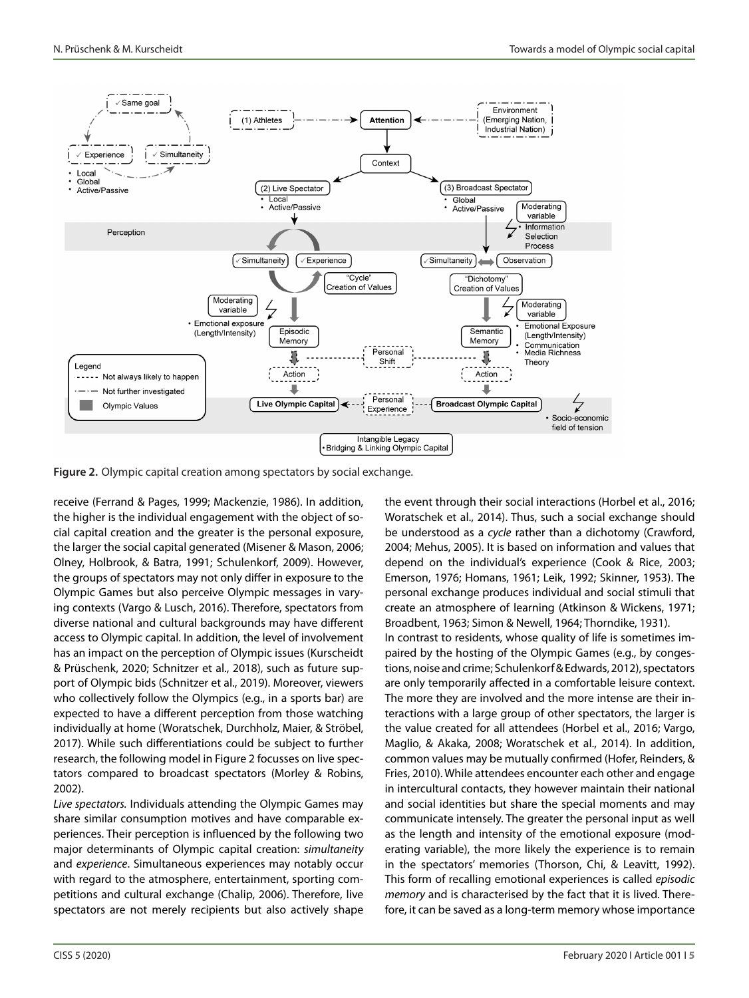

**Figure 2.** Olympic capital creation among spectators by social exchange.

receive (Ferrand & Pages, 1999; Mackenzie, 1986). In addition, the higher is the individual engagement with the object of social capital creation and the greater is the personal exposure, the larger the social capital generated (Misener & Mason, 2006; Olney, Holbrook, & Batra, 1991; Schulenkorf, 2009). However, the groups of spectators may not only differ in exposure to the Olympic Games but also perceive Olympic messages in varying contexts (Vargo & Lusch, 2016). Therefore, spectators from diverse national and cultural backgrounds may have different access to Olympic capital. In addition, the level of involvement has an impact on the perception of Olympic issues (Kurscheidt & Prüschenk, 2020; Schnitzer et al., 2018), such as future support of Olympic bids (Schnitzer et al., 2019). Moreover, viewers who collectively follow the Olympics (e.g., in a sports bar) are expected to have a different perception from those watching individually at home (Woratschek, Durchholz, Maier, & Ströbel, 2017). While such differentiations could be subject to further research, the following model in Figure 2 focusses on live spectators compared to broadcast spectators (Morley & Robins, 2002).

*Live spectators.* Individuals attending the Olympic Games may share similar consumption motives and have comparable experiences. Their perception is influenced by the following two major determinants of Olympic capital creation: *simultaneity* and *experience*. Simultaneous experiences may notably occur with regard to the atmosphere, entertainment, sporting competitions and cultural exchange (Chalip, 2006). Therefore, live spectators are not merely recipients but also actively shape the event through their social interactions (Horbel et al., 2016; Woratschek et al., 2014). Thus, such a social exchange should be understood as a *cycle* rather than a dichotomy (Crawford, 2004; Mehus, 2005). It is based on information and values that depend on the individual's experience (Cook & Rice, 2003; Emerson, 1976; Homans, 1961; Leik, 1992; Skinner, 1953). The personal exchange produces individual and social stimuli that create an atmosphere of learning (Atkinson & Wickens, 1971; Broadbent, 1963; Simon & Newell, 1964; Thorndike, 1931). In contrast to residents, whose quality of life is sometimes impaired by the hosting of the Olympic Games (e.g., by congestions, noise and crime; Schulenkorf & Edwards, 2012), spectators are only temporarily affected in a comfortable leisure context. The more they are involved and the more intense are their interactions with a large group of other spectators, the larger is the value created for all attendees (Horbel et al., 2016; Vargo, Maglio, & Akaka, 2008; Woratschek et al., 2014). In addition, common values may be mutually confirmed (Hofer, Reinders, & Fries, 2010). While attendees encounter each other and engage in intercultural contacts, they however maintain their national and social identities but share the special moments and may communicate intensely. The greater the personal input as well as the length and intensity of the emotional exposure (moderating variable), the more likely the experience is to remain in the spectators' memories (Thorson, Chi, & Leavitt, 1992). This form of recalling emotional experiences is called *episodic memory* and is characterised by the fact that it is lived. Therefore, it can be saved as a long-term memory whose importance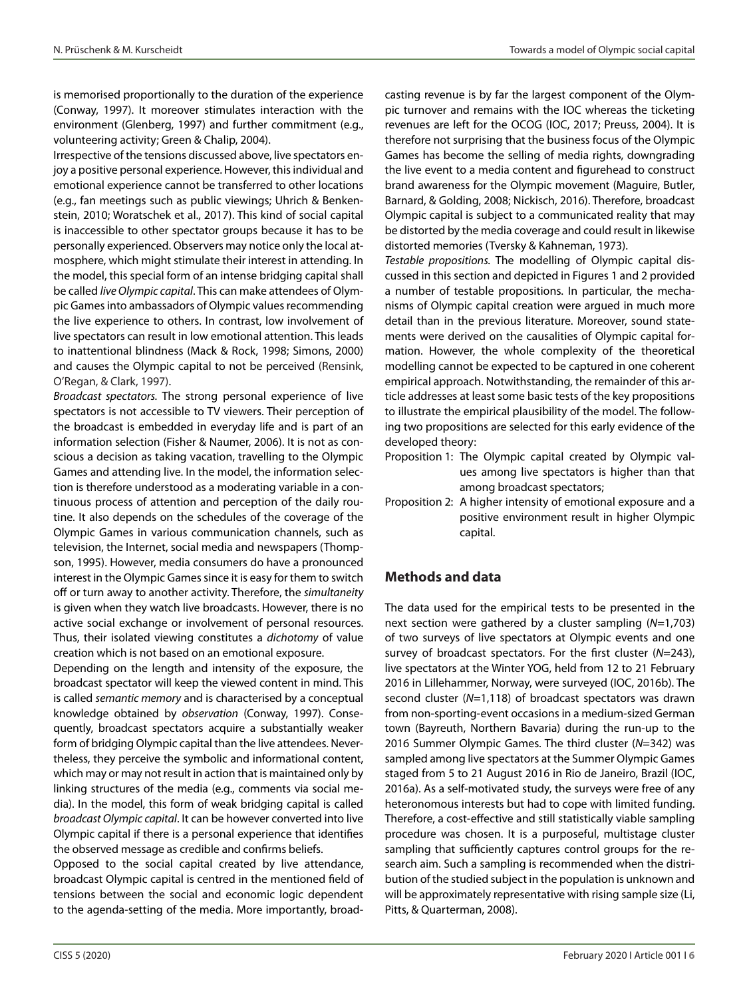is memorised proportionally to the duration of the experience (Conway, 1997). It moreover stimulates interaction with the environment (Glenberg, 1997) and further commitment (e.g., volunteering activity; Green & Chalip, 2004).

Irrespective of the tensions discussed above, live spectators enjoy a positive personal experience. However, this individual and emotional experience cannot be transferred to other locations (e.g., fan meetings such as public viewings; Uhrich & Benkenstein, 2010; Woratschek et al., 2017). This kind of social capital is inaccessible to other spectator groups because it has to be personally experienced. Observers may notice only the local atmosphere, which might stimulate their interest in attending. In the model, this special form of an intense bridging capital shall be called *live Olympic capital*. This can make attendees of Olympic Games into ambassadors of Olympic values recommending the live experience to others. In contrast, low involvement of live spectators can result in low emotional attention. This leads to inattentional blindness (Mack & Rock, 1998; Simons, 2000) and causes the Olympic capital to not be perceived (Rensink, O'Regan, & Clark, 1997).

*Broadcast spectators.* The strong personal experience of live spectators is not accessible to TV viewers. Their perception of the broadcast is embedded in everyday life and is part of an information selection (Fisher & Naumer, 2006). It is not as conscious a decision as taking vacation, travelling to the Olympic Games and attending live. In the model, the information selection is therefore understood as a moderating variable in a continuous process of attention and perception of the daily routine. It also depends on the schedules of the coverage of the Olympic Games in various communication channels, such as television, the Internet, social media and newspapers (Thompson, 1995). However, media consumers do have a pronounced interest in the Olympic Games since it is easy for them to switch off or turn away to another activity. Therefore, the *simultaneity* is given when they watch live broadcasts. However, there is no active social exchange or involvement of personal resources. Thus, their isolated viewing constitutes a *dichotomy* of value creation which is not based on an emotional exposure.

Depending on the length and intensity of the exposure, the broadcast spectator will keep the viewed content in mind. This is called *semantic memory* and is characterised by a conceptual knowledge obtained by *observation* (Conway, 1997). Consequently, broadcast spectators acquire a substantially weaker form of bridging Olympic capital than the live attendees. Nevertheless, they perceive the symbolic and informational content, which may or may not result in action that is maintained only by linking structures of the media (e.g., comments via social media). In the model, this form of weak bridging capital is called *broadcast Olympic capital*. It can be however converted into live Olympic capital if there is a personal experience that identifies the observed message as credible and confirms beliefs.

Opposed to the social capital created by live attendance, broadcast Olympic capital is centred in the mentioned field of tensions between the social and economic logic dependent to the agenda-setting of the media. More importantly, broadcasting revenue is by far the largest component of the Olympic turnover and remains with the IOC whereas the ticketing revenues are left for the OCOG (IOC, 2017; Preuss, 2004). It is therefore not surprising that the business focus of the Olympic Games has become the selling of media rights, downgrading the live event to a media content and figurehead to construct brand awareness for the Olympic movement (Maguire, Butler, Barnard, & Golding, 2008; Nickisch, 2016). Therefore, broadcast Olympic capital is subject to a communicated reality that may be distorted by the media coverage and could result in likewise distorted memories (Tversky & Kahneman, 1973).

*Testable propositions.* The modelling of Olympic capital discussed in this section and depicted in Figures 1 and 2 provided a number of testable propositions. In particular, the mechanisms of Olympic capital creation were argued in much more detail than in the previous literature. Moreover, sound statements were derived on the causalities of Olympic capital formation. However, the whole complexity of the theoretical modelling cannot be expected to be captured in one coherent empirical approach. Notwithstanding, the remainder of this article addresses at least some basic tests of the key propositions to illustrate the empirical plausibility of the model. The following two propositions are selected for this early evidence of the developed theory:

- Proposition 1: The Olympic capital created by Olympic values among live spectators is higher than that among broadcast spectators;
- Proposition 2: A higher intensity of emotional exposure and a positive environment result in higher Olympic capital.

## **Methods and data**

The data used for the empirical tests to be presented in the next section were gathered by a cluster sampling (*N*=1,703) of two surveys of live spectators at Olympic events and one survey of broadcast spectators. For the first cluster (*N*=243), live spectators at the Winter YOG, held from 12 to 21 February 2016 in Lillehammer, Norway, were surveyed (IOC, 2016b). The second cluster (*N*=1,118) of broadcast spectators was drawn from non-sporting-event occasions in a medium-sized German town (Bayreuth, Northern Bavaria) during the run-up to the 2016 Summer Olympic Games. The third cluster (*N*=342) was sampled among live spectators at the Summer Olympic Games staged from 5 to 21 August 2016 in Rio de Janeiro, Brazil (IOC, 2016a). As a self-motivated study, the surveys were free of any heteronomous interests but had to cope with limited funding. Therefore, a cost-effective and still statistically viable sampling procedure was chosen. It is a purposeful, multistage cluster sampling that sufficiently captures control groups for the research aim. Such a sampling is recommended when the distribution of the studied subject in the population is unknown and will be approximately representative with rising sample size (Li, Pitts, & Quarterman, 2008).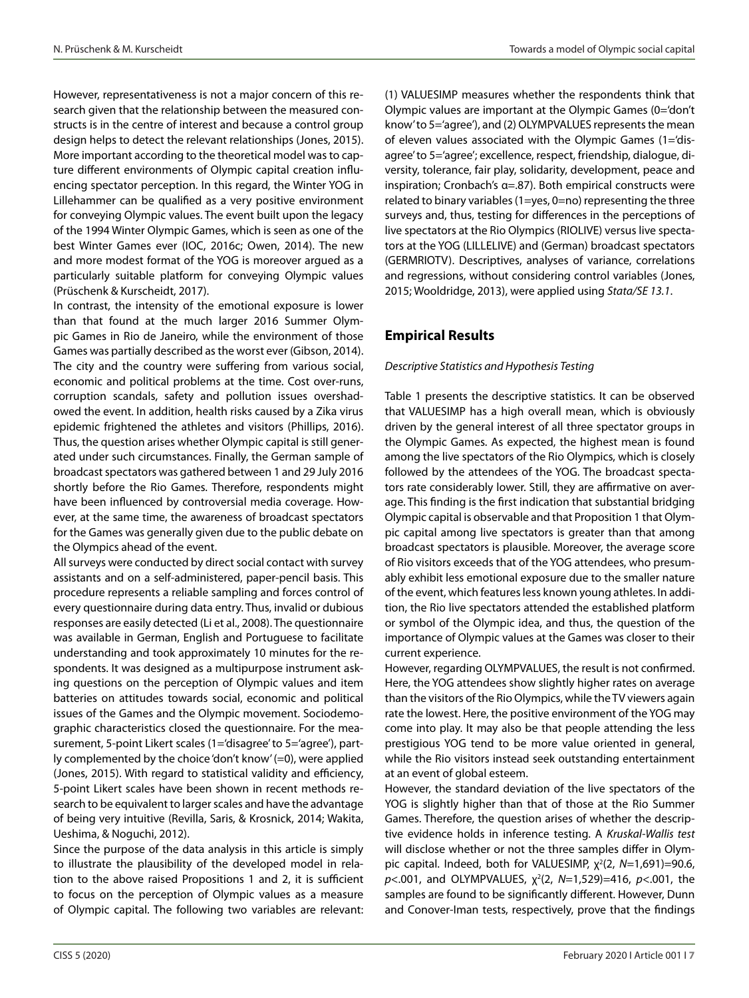However, representativeness is not a major concern of this research given that the relationship between the measured constructs is in the centre of interest and because a control group design helps to detect the relevant relationships (Jones, 2015). More important according to the theoretical model was to capture different environments of Olympic capital creation influencing spectator perception. In this regard, the Winter YOG in Lillehammer can be qualified as a very positive environment for conveying Olympic values. The event built upon the legacy of the 1994 Winter Olympic Games, which is seen as one of the best Winter Games ever (IOC, 2016c; Owen, 2014). The new and more modest format of the YOG is moreover argued as a particularly suitable platform for conveying Olympic values (Prüschenk & Kurscheidt, 2017).

In contrast, the intensity of the emotional exposure is lower than that found at the much larger 2016 Summer Olympic Games in Rio de Janeiro, while the environment of those Games was partially described as the worst ever (Gibson, 2014). The city and the country were suffering from various social, economic and political problems at the time. Cost over-runs, corruption scandals, safety and pollution issues overshadowed the event. In addition, health risks caused by a Zika virus epidemic frightened the athletes and visitors (Phillips, 2016). Thus, the question arises whether Olympic capital is still generated under such circumstances. Finally, the German sample of broadcast spectators was gathered between 1 and 29 July 2016 shortly before the Rio Games. Therefore, respondents might have been influenced by controversial media coverage. However, at the same time, the awareness of broadcast spectators for the Games was generally given due to the public debate on the Olympics ahead of the event.

All surveys were conducted by direct social contact with survey assistants and on a self-administered, paper-pencil basis. This procedure represents a reliable sampling and forces control of every questionnaire during data entry. Thus, invalid or dubious responses are easily detected (Li et al., 2008). The questionnaire was available in German, English and Portuguese to facilitate understanding and took approximately 10 minutes for the respondents. It was designed as a multipurpose instrument asking questions on the perception of Olympic values and item batteries on attitudes towards social, economic and political issues of the Games and the Olympic movement. Sociodemographic characteristics closed the questionnaire. For the measurement, 5-point Likert scales (1='disagree' to 5='agree'), partly complemented by the choice 'don't know' (=0), were applied (Jones, 2015). With regard to statistical validity and efficiency, 5-point Likert scales have been shown in recent methods research to be equivalent to larger scales and have the advantage of being very intuitive (Revilla, Saris, & Krosnick, 2014; Wakita, Ueshima, & Noguchi, 2012).

Since the purpose of the data analysis in this article is simply to illustrate the plausibility of the developed model in relation to the above raised Propositions 1 and 2, it is sufficient to focus on the perception of Olympic values as a measure of Olympic capital. The following two variables are relevant:

(1) VALUESIMP measures whether the respondents think that Olympic values are important at the Olympic Games (0='don't know' to 5='agree'), and (2) OLYMPVALUES represents the mean of eleven values associated with the Olympic Games (1='disagree' to 5='agree'; excellence, respect, friendship, dialogue, diversity, tolerance, fair play, solidarity, development, peace and inspiration; Cronbach's α=.87). Both empirical constructs were related to binary variables (1=yes, 0=no) representing the three surveys and, thus, testing for differences in the perceptions of live spectators at the Rio Olympics (RIOLIVE) versus live spectators at the YOG (LILLELIVE) and (German) broadcast spectators (GERMRIOTV). Descriptives, analyses of variance, correlations and regressions, without considering control variables (Jones, 2015; Wooldridge, 2013), were applied using *Stata/SE 13.1*.

# **Empirical Results**

## *Descriptive Statistics and Hypothesis Testing*

Table 1 presents the descriptive statistics. It can be observed that VALUESIMP has a high overall mean, which is obviously driven by the general interest of all three spectator groups in the Olympic Games. As expected, the highest mean is found among the live spectators of the Rio Olympics, which is closely followed by the attendees of the YOG. The broadcast spectators rate considerably lower. Still, they are affirmative on average. This finding is the first indication that substantial bridging Olympic capital is observable and that Proposition 1 that Olympic capital among live spectators is greater than that among broadcast spectators is plausible. Moreover, the average score of Rio visitors exceeds that of the YOG attendees, who presumably exhibit less emotional exposure due to the smaller nature of the event, which features less known young athletes. In addition, the Rio live spectators attended the established platform or symbol of the Olympic idea, and thus, the question of the importance of Olympic values at the Games was closer to their current experience.

However, regarding OLYMPVALUES, the result is not confirmed. Here, the YOG attendees show slightly higher rates on average than the visitors of the Rio Olympics, while the TV viewers again rate the lowest. Here, the positive environment of the YOG may come into play. It may also be that people attending the less prestigious YOG tend to be more value oriented in general, while the Rio visitors instead seek outstanding entertainment at an event of global esteem.

However, the standard deviation of the live spectators of the YOG is slightly higher than that of those at the Rio Summer Games. Therefore, the question arises of whether the descriptive evidence holds in inference testing. A *Kruskal-Wallis test* will disclose whether or not the three samples differ in Olympic capital. Indeed, both for VALUESIMP,  $χ<sup>2</sup>(2, N=1,691)=90.6,$  $p$ <.001, and OLYMPVALUES,  $\chi^2$ (2, *N*=1,529)=416, *p*<.001, the samples are found to be significantly different. However, Dunn and Conover-Iman tests, respectively, prove that the findings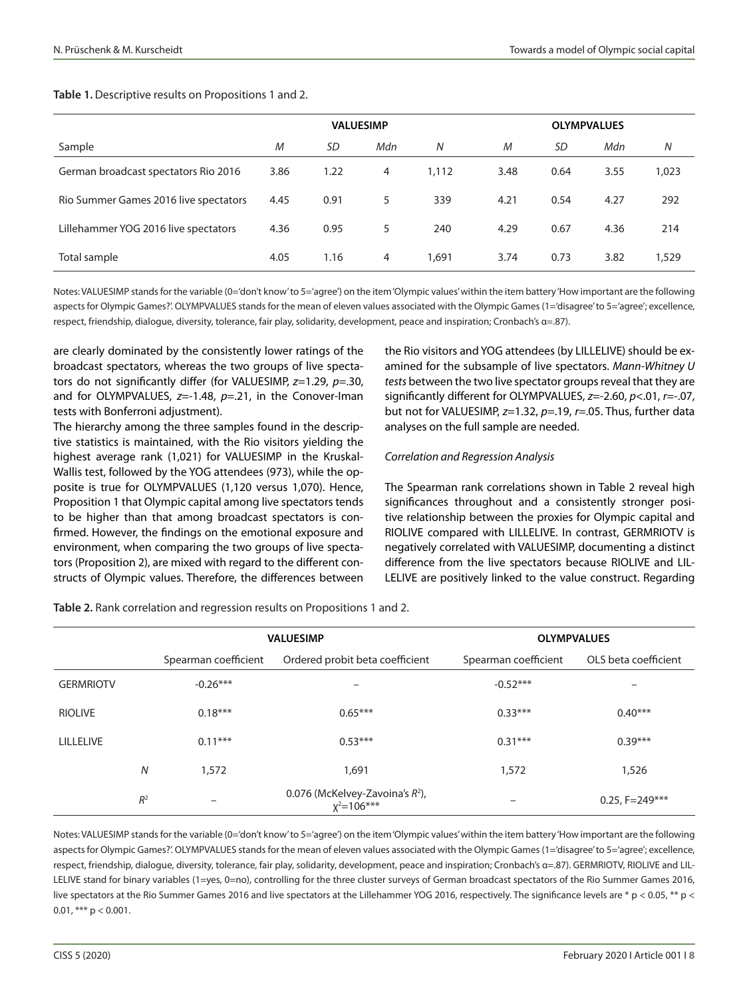#### **Table 1.** Descriptive results on Propositions 1 and 2.

|                                       | <b>VALUESIMP</b> |           |     |       | <b>OLYMPVALUES</b> |      |      |       |
|---------------------------------------|------------------|-----------|-----|-------|--------------------|------|------|-------|
| Sample                                | M                | <b>SD</b> | Mdn | N     | M                  | SD   | Mdn  | N     |
| German broadcast spectators Rio 2016  | 3.86             | 1.22      | 4   | 1,112 | 3.48               | 0.64 | 3.55 | 1,023 |
| Rio Summer Games 2016 live spectators | 4.45             | 0.91      | 5   | 339   | 4.21               | 0.54 | 4.27 | 292   |
| Lillehammer YOG 2016 live spectators  | 4.36             | 0.95      | 5   | 240   | 4.29               | 0.67 | 4.36 | 214   |
| Total sample                          | 4.05             | 1.16      | 4   | 1,691 | 3.74               | 0.73 | 3.82 | 1,529 |

Notes: VALUESIMP stands for the variable (0='don't know' to 5='agree') on the item 'Olympic values' within the item battery 'How important are the following aspects for Olympic Games?'. OLYMPVALUES stands for the mean of eleven values associated with the Olympic Games (1='disagree' to 5='agree'; excellence, respect, friendship, dialogue, diversity, tolerance, fair play, solidarity, development, peace and inspiration; Cronbach's α=.87).

are clearly dominated by the consistently lower ratings of the broadcast spectators, whereas the two groups of live spectators do not significantly differ (for VALUESIMP, *z*=1.29, *p*=.30, and for OLYMPVALUES, *z*=-1.48, *p*=.21, in the Conover-Iman tests with Bonferroni adjustment).

The hierarchy among the three samples found in the descriptive statistics is maintained, with the Rio visitors yielding the highest average rank (1,021) for VALUESIMP in the Kruskal-Wallis test, followed by the YOG attendees (973), while the opposite is true for OLYMPVALUES (1,120 versus 1,070). Hence, Proposition 1 that Olympic capital among live spectators tends to be higher than that among broadcast spectators is confirmed. However, the findings on the emotional exposure and environment, when comparing the two groups of live spectators (Proposition 2), are mixed with regard to the different constructs of Olympic values. Therefore, the differences between the Rio visitors and YOG attendees (by LILLELIVE) should be examined for the subsample of live spectators. *Mann-Whitney U tests* between the two live spectator groups reveal that they are significantly different for OLYMPVALUES, *z*=-2.60, *p*<.01, *r*=-.07, but not for VALUESIMP, *z*=1.32, *p*=.19, *r*=.05. Thus, further data analyses on the full sample are needed.

#### *Correlation and Regression Analysis*

The Spearman rank correlations shown in Table 2 reveal high significances throughout and a consistently stronger positive relationship between the proxies for Olympic capital and RIOLIVE compared with LILLELIVE. In contrast, GERMRIOTV is negatively correlated with VALUESIMP, documenting a distinct difference from the live spectators because RIOLIVE and LIL-LELIVE are positively linked to the value construct. Regarding

**Table 2.** Rank correlation and regression results on Propositions 1 and 2.

|                  |       |                          | <b>VALUESIMP</b>                                    | <b>OLYMPVALUES</b>       |                          |  |  |
|------------------|-------|--------------------------|-----------------------------------------------------|--------------------------|--------------------------|--|--|
|                  |       | Spearman coefficient     | Ordered probit beta coefficient                     | Spearman coefficient     | OLS beta coefficient     |  |  |
| <b>GERMRIOTV</b> |       | $-0.26***$               | -                                                   | $-0.52***$               | $\overline{\phantom{0}}$ |  |  |
| <b>RIOLIVE</b>   |       | $0.18***$                | $0.65***$                                           | $0.33***$                | $0.40***$                |  |  |
| <b>LILLELIVE</b> |       | $0.11***$                | $0.53***$                                           | $0.31***$                | $0.39***$                |  |  |
|                  | N     | 1,572                    | 1,691                                               | 1,572                    | 1,526                    |  |  |
|                  | $R^2$ | $\overline{\phantom{0}}$ | 0.076 (McKelvey-Zavoina's $R^2$ ),<br>$x^2$ =106*** | $\overline{\phantom{0}}$ | $0.25, F = 249***$       |  |  |

Notes: VALUESIMP stands for the variable (0='don't know' to 5='agree') on the item 'Olympic values' within the item battery 'How important are the following aspects for Olympic Games?'. OLYMPVALUES stands for the mean of eleven values associated with the Olympic Games (1='disagree' to 5='agree'; excellence, respect, friendship, dialogue, diversity, tolerance, fair play, solidarity, development, peace and inspiration; Cronbach's α=.87). GERMRIOTV, RIOLIVE and LIL-LELIVE stand for binary variables (1=yes, 0=no), controlling for the three cluster surveys of German broadcast spectators of the Rio Summer Games 2016, live spectators at the Rio Summer Games 2016 and live spectators at the Lillehammer YOG 2016, respectively. The significance levels are \* p < 0.05, \*\* p < 0.01, \*\*\*  $p < 0.001$ .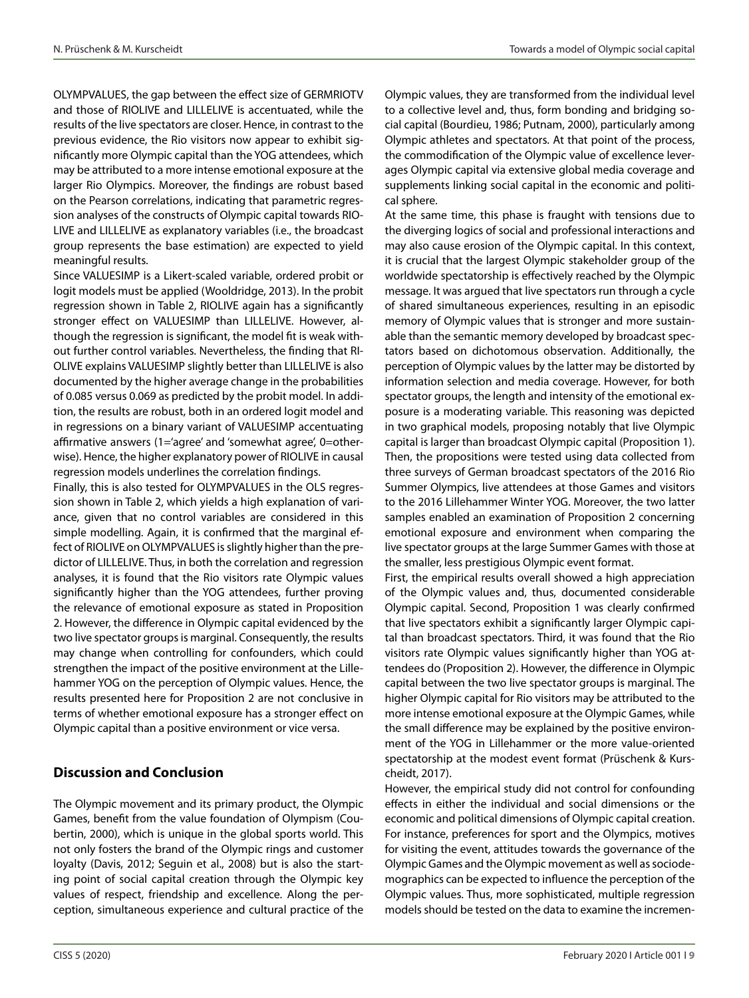OLYMPVALUES, the gap between the effect size of GERMRIOTV and those of RIOLIVE and LILLELIVE is accentuated, while the results of the live spectators are closer. Hence, in contrast to the previous evidence, the Rio visitors now appear to exhibit significantly more Olympic capital than the YOG attendees, which may be attributed to a more intense emotional exposure at the larger Rio Olympics. Moreover, the findings are robust based on the Pearson correlations, indicating that parametric regression analyses of the constructs of Olympic capital towards RIO-LIVE and LILLELIVE as explanatory variables (i.e., the broadcast group represents the base estimation) are expected to yield meaningful results.

Since VALUESIMP is a Likert-scaled variable, ordered probit or logit models must be applied (Wooldridge, 2013). In the probit regression shown in Table 2, RIOLIVE again has a significantly stronger effect on VALUESIMP than LILLELIVE. However, although the regression is significant, the model fit is weak without further control variables. Nevertheless, the finding that RI-OLIVE explains VALUESIMP slightly better than LILLELIVE is also documented by the higher average change in the probabilities of 0.085 versus 0.069 as predicted by the probit model. In addition, the results are robust, both in an ordered logit model and in regressions on a binary variant of VALUESIMP accentuating affirmative answers (1='agree' and 'somewhat agree', 0=otherwise). Hence, the higher explanatory power of RIOLIVE in causal regression models underlines the correlation findings.

Finally, this is also tested for OLYMPVALUES in the OLS regression shown in Table 2, which yields a high explanation of variance, given that no control variables are considered in this simple modelling. Again, it is confirmed that the marginal effect of RIOLIVE on OLYMPVALUES is slightly higher than the predictor of LILLELIVE. Thus, in both the correlation and regression analyses, it is found that the Rio visitors rate Olympic values significantly higher than the YOG attendees, further proving the relevance of emotional exposure as stated in Proposition 2. However, the difference in Olympic capital evidenced by the two live spectator groups is marginal. Consequently, the results may change when controlling for confounders, which could strengthen the impact of the positive environment at the Lillehammer YOG on the perception of Olympic values. Hence, the results presented here for Proposition 2 are not conclusive in terms of whether emotional exposure has a stronger effect on Olympic capital than a positive environment or vice versa.

## **Discussion and Conclusion**

The Olympic movement and its primary product, the Olympic Games, benefit from the value foundation of Olympism (Coubertin, 2000), which is unique in the global sports world. This not only fosters the brand of the Olympic rings and customer loyalty (Davis, 2012; Seguin et al., 2008) but is also the starting point of social capital creation through the Olympic key values of respect, friendship and excellence. Along the perception, simultaneous experience and cultural practice of the Olympic values, they are transformed from the individual level to a collective level and, thus, form bonding and bridging social capital (Bourdieu, 1986; Putnam, 2000), particularly among Olympic athletes and spectators. At that point of the process, the commodification of the Olympic value of excellence leverages Olympic capital via extensive global media coverage and supplements linking social capital in the economic and political sphere.

At the same time, this phase is fraught with tensions due to the diverging logics of social and professional interactions and may also cause erosion of the Olympic capital. In this context, it is crucial that the largest Olympic stakeholder group of the worldwide spectatorship is effectively reached by the Olympic message. It was argued that live spectators run through a cycle of shared simultaneous experiences, resulting in an episodic memory of Olympic values that is stronger and more sustainable than the semantic memory developed by broadcast spectators based on dichotomous observation. Additionally, the perception of Olympic values by the latter may be distorted by information selection and media coverage. However, for both spectator groups, the length and intensity of the emotional exposure is a moderating variable. This reasoning was depicted in two graphical models, proposing notably that live Olympic capital is larger than broadcast Olympic capital (Proposition 1). Then, the propositions were tested using data collected from three surveys of German broadcast spectators of the 2016 Rio Summer Olympics, live attendees at those Games and visitors to the 2016 Lillehammer Winter YOG. Moreover, the two latter samples enabled an examination of Proposition 2 concerning emotional exposure and environment when comparing the live spectator groups at the large Summer Games with those at the smaller, less prestigious Olympic event format.

First, the empirical results overall showed a high appreciation of the Olympic values and, thus, documented considerable Olympic capital. Second, Proposition 1 was clearly confirmed that live spectators exhibit a significantly larger Olympic capital than broadcast spectators. Third, it was found that the Rio visitors rate Olympic values significantly higher than YOG attendees do (Proposition 2). However, the difference in Olympic capital between the two live spectator groups is marginal. The higher Olympic capital for Rio visitors may be attributed to the more intense emotional exposure at the Olympic Games, while the small difference may be explained by the positive environment of the YOG in Lillehammer or the more value-oriented spectatorship at the modest event format (Prüschenk & Kurscheidt, 2017).

However, the empirical study did not control for confounding effects in either the individual and social dimensions or the economic and political dimensions of Olympic capital creation. For instance, preferences for sport and the Olympics, motives for visiting the event, attitudes towards the governance of the Olympic Games and the Olympic movement as well as sociodemographics can be expected to influence the perception of the Olympic values. Thus, more sophisticated, multiple regression models should be tested on the data to examine the incremen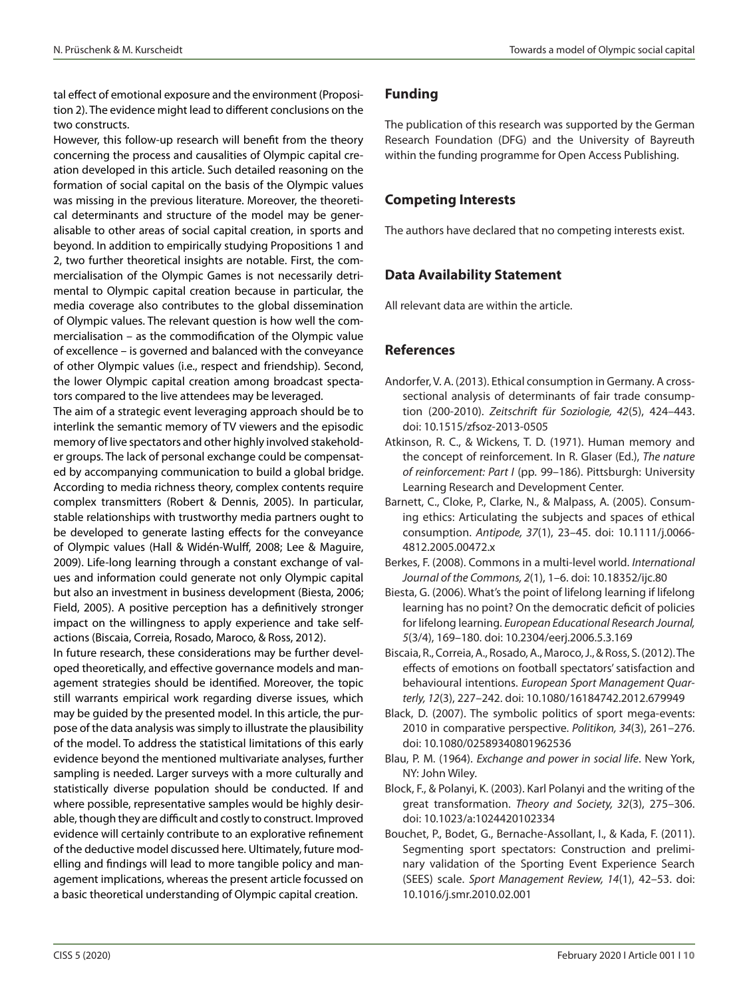tal effect of emotional exposure and the environment (Proposition 2). The evidence might lead to different conclusions on the two constructs.

However, this follow-up research will benefit from the theory concerning the process and causalities of Olympic capital creation developed in this article. Such detailed reasoning on the formation of social capital on the basis of the Olympic values was missing in the previous literature. Moreover, the theoretical determinants and structure of the model may be generalisable to other areas of social capital creation, in sports and beyond. In addition to empirically studying Propositions 1 and 2, two further theoretical insights are notable. First, the commercialisation of the Olympic Games is not necessarily detrimental to Olympic capital creation because in particular, the media coverage also contributes to the global dissemination of Olympic values. The relevant question is how well the commercialisation – as the commodification of the Olympic value of excellence – is governed and balanced with the conveyance of other Olympic values (i.e., respect and friendship). Second, the lower Olympic capital creation among broadcast spectators compared to the live attendees may be leveraged.

The aim of a strategic event leveraging approach should be to interlink the semantic memory of TV viewers and the episodic memory of live spectators and other highly involved stakeholder groups. The lack of personal exchange could be compensated by accompanying communication to build a global bridge. According to media richness theory, complex contents require complex transmitters (Robert & Dennis, 2005). In particular, stable relationships with trustworthy media partners ought to be developed to generate lasting effects for the conveyance of Olympic values (Hall & Widén-Wulff, 2008; Lee & Maguire, 2009). Life-long learning through a constant exchange of values and information could generate not only Olympic capital but also an investment in business development (Biesta, 2006; Field, 2005). A positive perception has a definitively stronger impact on the willingness to apply experience and take selfactions (Biscaia, Correia, Rosado, Maroco, & Ross, 2012).

In future research, these considerations may be further developed theoretically, and effective governance models and management strategies should be identified. Moreover, the topic still warrants empirical work regarding diverse issues, which may be guided by the presented model. In this article, the purpose of the data analysis was simply to illustrate the plausibility of the model. To address the statistical limitations of this early evidence beyond the mentioned multivariate analyses, further sampling is needed. Larger surveys with a more culturally and statistically diverse population should be conducted. If and where possible, representative samples would be highly desirable, though they are difficult and costly to construct. Improved evidence will certainly contribute to an explorative refinement of the deductive model discussed here. Ultimately, future modelling and findings will lead to more tangible policy and management implications, whereas the present article focussed on a basic theoretical understanding of Olympic capital creation.

## **Funding**

The publication of this research was supported by the German Research Foundation (DFG) and the University of Bayreuth within the funding programme for Open Access Publishing.

## **Competing Interests**

The authors have declared that no competing interests exist.

## **Data Availability Statement**

All relevant data are within the article.

## **References**

- Andorfer, V. A. (2013). Ethical consumption in Germany. A crosssectional analysis of determinants of fair trade consumption (200-2010). *Zeitschrift für Soziologie, 42*(5), 424–443. doi: 10.1515/zfsoz-2013-0505
- Atkinson, R. C., & Wickens, T. D. (1971). Human memory and the concept of reinforcement. In R. Glaser (Ed.), *The nature of reinforcement: Part I* (pp. 99–186). Pittsburgh: University Learning Research and Development Center.
- Barnett, C., Cloke, P., Clarke, N., & Malpass, A. (2005). Consuming ethics: Articulating the subjects and spaces of ethical consumption. *Antipode, 37*(1), 23–45. doi: 10.1111/j.0066- 4812.2005.00472.x
- Berkes, F. (2008). Commons in a multi-level world. *International Journal of the Commons, 2*(1), 1–6. doi: 10.18352/ijc.80
- Biesta, G. (2006). What's the point of lifelong learning if lifelong learning has no point? On the democratic deficit of policies for lifelong learning. *European Educational Research Journal, 5*(3/4), 169–180. doi: 10.2304/eerj.2006.5.3.169
- Biscaia, R., Correia, A., Rosado, A., Maroco, J., & Ross, S. (2012). The effects of emotions on football spectators' satisfaction and behavioural intentions. *European Sport Management Quarterly, 12*(3), 227–242. doi: 10.1080/16184742.2012.679949
- Black, D. (2007). The symbolic politics of sport mega-events: 2010 in comparative perspective. *Politikon, 34*(3), 261–276. doi: 10.1080/02589340801962536
- Blau, P. M. (1964). *Exchange and power in social life*. New York, NY: John Wiley.
- Block, F., & Polanyi, K. (2003). Karl Polanyi and the writing of the great transformation. *Theory and Society, 32*(3), 275–306. doi: 10.1023/a:1024420102334
- Bouchet, P., Bodet, G., Bernache-Assollant, I., & Kada, F. (2011). Segmenting sport spectators: Construction and preliminary validation of the Sporting Event Experience Search (SEES) scale. *Sport Management Review, 14*(1), 42–53. doi: 10.1016/j.smr.2010.02.001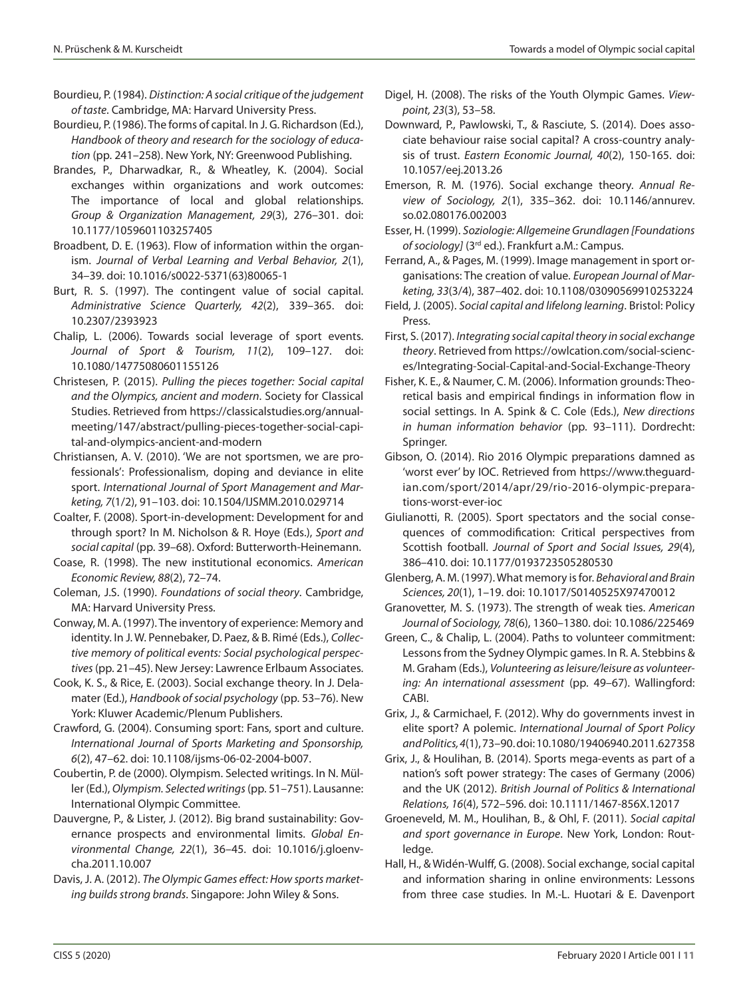- Bourdieu, P. (1984). *Distinction: A social critique of the judgement of taste*. Cambridge, MA: Harvard University Press.
- Bourdieu, P. (1986). The forms of capital. In J. G. Richardson (Ed.), *Handbook of theory and research for the sociology of education* (pp. 241–258). New York, NY: Greenwood Publishing.
- Brandes, P., Dharwadkar, R., & Wheatley, K. (2004). Social exchanges within organizations and work outcomes: The importance of local and global relationships. *Group & Organization Management, 29*(3), 276–301. doi: 10.1177/1059601103257405
- Broadbent, D. E. (1963). Flow of information within the organism. *Journal of Verbal Learning and Verbal Behavior, 2*(1), 34–39. doi: 10.1016/s0022-5371(63)80065-1
- Burt, R. S. (1997). The contingent value of social capital. *Administrative Science Quarterly, 42*(2), 339–365. doi: 10.2307/2393923
- Chalip, L. (2006). Towards social leverage of sport events. *Journal of Sport & Tourism, 11*(2), 109–127. doi: 10.1080/14775080601155126
- Christesen, P. (2015). *Pulling the pieces together: Social capital and the Olympics, ancient and modern*. Society for Classical Studies. Retrieved from https://classicalstudies.org/annualmeeting/147/abstract/pulling-pieces-together-social-capital-and-olympics-ancient-and-modern
- Christiansen, A. V. (2010). 'We are not sportsmen, we are professionals': Professionalism, doping and deviance in elite sport. *International Journal of Sport Management and Marketing, 7*(1/2), 91–103. doi: 10.1504/IJSMM.2010.029714
- Coalter, F. (2008). Sport-in-development: Development for and through sport? In M. Nicholson & R. Hoye (Eds.), *Sport and social capital* (pp. 39–68). Oxford: Butterworth-Heinemann.
- Coase, R. (1998). The new institutional economics. *American Economic Review, 88*(2), 72–74.
- Coleman, J.S. (1990). *Foundations of social theory*. Cambridge, MA: Harvard University Press.
- Conway, M. A. (1997). The inventory of experience: Memory and identity. In J. W. Pennebaker, D. Paez, & B. Rimé (Eds.), *Collective memory of political events: Social psychological perspectives* (pp. 21–45). New Jersey: Lawrence Erlbaum Associates.
- Cook, K. S., & Rice, E. (2003). Social exchange theory. In J. Delamater (Ed.), *Handbook of social psychology* (pp. 53–76). New York: Kluwer Academic/Plenum Publishers.
- Crawford, G. (2004). Consuming sport: Fans, sport and culture. *International Journal of Sports Marketing and Sponsorship, 6*(2), 47–62. doi: 10.1108/ijsms-06-02-2004-b007.
- Coubertin, P. de (2000). Olympism. Selected writings. In N. Müller (Ed.), *Olympism. Selected writings* (pp. 51–751). Lausanne: International Olympic Committee.
- Dauvergne, P., & Lister, J. (2012). Big brand sustainability: Governance prospects and environmental limits. *Global Environmental Change, 22*(1), 36–45. doi: 10.1016/j.gloenvcha.2011.10.007
- Davis, J. A. (2012). *The Olympic Games effect: How sports marketing builds strong brands*. Singapore: John Wiley & Sons.
- Digel, H. (2008). The risks of the Youth Olympic Games. *Viewpoint, 23*(3), 53–58.
- Downward, P., Pawlowski, T., & Rasciute, S. (2014). Does associate behaviour raise social capital? A cross-country analysis of trust. *Eastern Economic Journal, 40*(2), 150-165. doi: 10.1057/eej.2013.26
- Emerson, R. M. (1976). Social exchange theory. *Annual Review of Sociology, 2*(1), 335–362. doi: 10.1146/annurev. so.02.080176.002003
- Esser, H. (1999). *Soziologie: Allgemeine Grundlagen [Foundations of sociology]* (3rd ed.). Frankfurt a.M.: Campus.

Ferrand, A., & Pages, M. (1999). Image management in sport organisations: The creation of value. *European Journal of Marketing, 33*(3/4), 387–402. doi: 10.1108/03090569910253224

- Field, J. (2005). *Social capital and lifelong learning*. Bristol: Policy Press.
- First, S. (2017). *Integrating social capital theory in social exchange theory*. Retrieved from https://owlcation.com/social-sciences/Integrating-Social-Capital-and-Social-Exchange-Theory
- Fisher, K. E., & Naumer, C. M. (2006). Information grounds: Theoretical basis and empirical findings in information flow in social settings. In A. Spink & C. Cole (Eds.), *New directions in human information behavior* (pp. 93–111). Dordrecht: Springer.
- Gibson, O. (2014). Rio 2016 Olympic preparations damned as 'worst ever' by IOC. Retrieved from https://www.theguardian.com/sport/2014/apr/29/rio-2016-olympic-preparations-worst-ever-ioc
- Giulianotti, R. (2005). Sport spectators and the social consequences of commodification: Critical perspectives from Scottish football. *Journal of Sport and Social Issues, 29*(4), 386–410. doi: 10.1177/0193723505280530
- Glenberg, A. M. (1997). What memory is for. *Behavioral and Brain Sciences, 20*(1), 1–19. doi: 10.1017/S0140525X97470012
- Granovetter, M. S. (1973). The strength of weak ties. *American Journal of Sociology, 78*(6), 1360–1380. doi: 10.1086/225469
- Green, C., & Chalip, L. (2004). Paths to volunteer commitment: Lessons from the Sydney Olympic games. In R. A. Stebbins & M. Graham (Eds.), *Volunteering as leisure/leisure as volunteering: An international assessment* (pp. 49–67). Wallingford: CABI.
- Grix, J., & Carmichael, F. (2012). Why do governments invest in elite sport? A polemic. *International Journal of Sport Policy and Politics, 4*(1), 73–90. doi: 10.1080/19406940.2011.627358
- Grix, J., & Houlihan, B. (2014). Sports mega-events as part of a nation's soft power strategy: The cases of Germany (2006) and the UK (2012). *British Journal of Politics & International Relations, 16*(4), 572–596. doi: 10.1111/1467-856X.12017
- Groeneveld, M. M., Houlihan, B., & Ohl, F. (2011). *Social capital and sport governance in Europe*. New York, London: Routledge.
- Hall, H., & Widén-Wulff, G. (2008). Social exchange, social capital and information sharing in online environments: Lessons from three case studies. In M.-L. Huotari & E. Davenport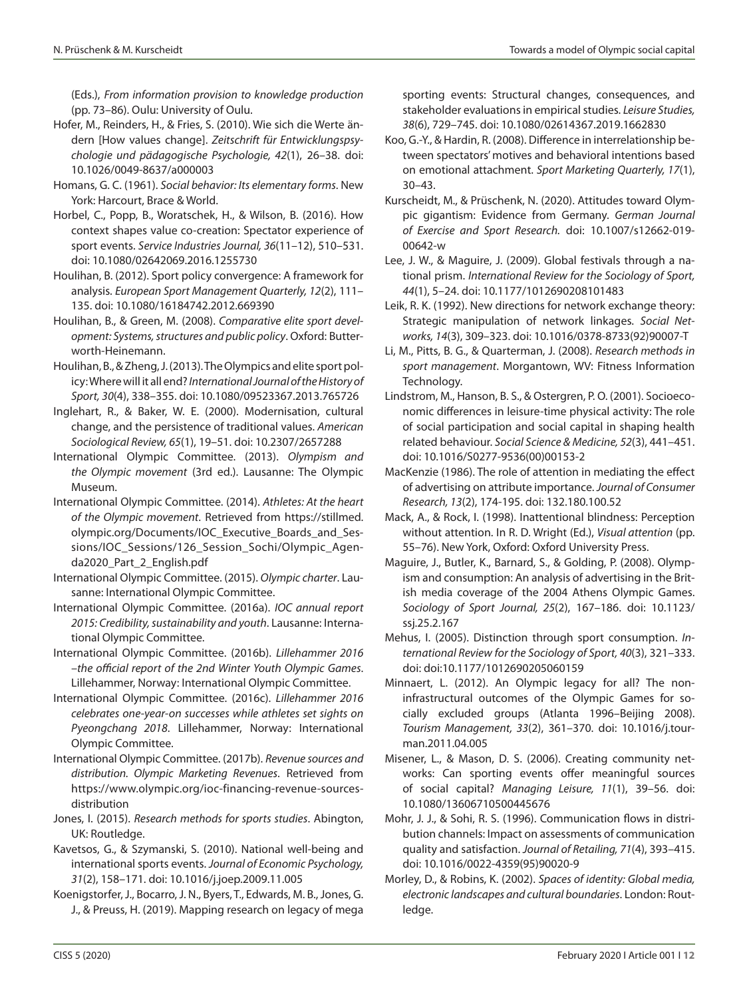(Eds.), *From information provision to knowledge production* (pp. 73–86). Oulu: University of Oulu.

- Hofer, M., Reinders, H., & Fries, S. (2010). Wie sich die Werte ändern [How values change]. *Zeitschrift für Entwicklungspsychologie und pädagogische Psychologie, 42*(1), 26–38. doi: 10.1026/0049-8637/a000003
- Homans, G. C. (1961). *Social behavior: Its elementary forms*. New York: Harcourt, Brace & World.
- Horbel, C., Popp, B., Woratschek, H., & Wilson, B. (2016). How context shapes value co-creation: Spectator experience of sport events. *Service Industries Journal, 36*(11–12), 510–531. doi: 10.1080/02642069.2016.1255730
- Houlihan, B. (2012). Sport policy convergence: A framework for analysis. *European Sport Management Quarterly, 12*(2), 111– 135. doi: 10.1080/16184742.2012.669390
- Houlihan, B., & Green, M. (2008). *Comparative elite sport development: Systems, structures and public policy*. Oxford: Butterworth-Heinemann.
- Houlihan, B., & Zheng, J. (2013). The Olympics and elite sport policy: Where will it all end? *International Journal of the History of Sport, 30*(4), 338–355. doi: 10.1080/09523367.2013.765726
- Inglehart, R., & Baker, W. E. (2000). Modernisation, cultural change, and the persistence of traditional values. *American Sociological Review, 65*(1), 19–51. doi: 10.2307/2657288
- International Olympic Committee. (2013). *Olympism and the Olympic movement* (3rd ed.). Lausanne: The Olympic Museum.
- International Olympic Committee. (2014). *Athletes: At the heart of the Olympic movement*. Retrieved from https://stillmed. olympic.org/Documents/IOC\_Executive\_Boards\_and\_Sessions/IOC\_Sessions/126\_Session\_Sochi/Olympic\_Agenda2020\_Part\_2\_English.pdf
- International Olympic Committee. (2015). *Olympic charter*. Lausanne: International Olympic Committee.
- International Olympic Committee. (2016a). *IOC annual report 2015: Credibility, sustainability and youth*. Lausanne: International Olympic Committee.
- International Olympic Committee. (2016b). *Lillehammer 2016 –the official report of the 2nd Winter Youth Olympic Games*. Lillehammer, Norway: International Olympic Committee.
- International Olympic Committee. (2016c). *Lillehammer 2016 celebrates one-year-on successes while athletes set sights on Pyeongchang 2018*. Lillehammer, Norway: International Olympic Committee.
- International Olympic Committee. (2017b). *Revenue sources and distribution. Olympic Marketing Revenues*. Retrieved from https://www.olympic.org/ioc-financing-revenue-sourcesdistribution
- Jones, I. (2015). *Research methods for sports studies*. Abington, UK: Routledge.
- Kavetsos, G., & Szymanski, S. (2010). National well-being and international sports events. *Journal of Economic Psychology, 31*(2), 158–171. doi: 10.1016/j.joep.2009.11.005
- Koenigstorfer, J., Bocarro, J. N., Byers, T., Edwards, M. B., Jones, G. J., & Preuss, H. (2019). Mapping research on legacy of mega

sporting events: Structural changes, consequences, and stakeholder evaluations in empirical studies. *Leisure Studies, 38*(6), 729–745. doi: 10.1080/02614367.2019.1662830

- Koo, G.-Y., & Hardin, R. (2008). Difference in interrelationship between spectators' motives and behavioral intentions based on emotional attachment. *Sport Marketing Quarterly, 17*(1), 30–43.
- Kurscheidt, M., & Prüschenk, N. (2020). Attitudes toward Olympic gigantism: Evidence from Germany. *German Journal of Exercise and Sport Research.* doi: 10.1007/s12662-019- 00642-w
- Lee, J. W., & Maguire, J. (2009). Global festivals through a national prism. *International Review for the Sociology of Sport, 44*(1), 5–24. doi: 10.1177/1012690208101483
- Leik, R. K. (1992). New directions for network exchange theory: Strategic manipulation of network linkages. *Social Networks, 14*(3), 309–323. doi: 10.1016/0378-8733(92)90007-T
- Li, M., Pitts, B. G., & Quarterman, J. (2008). *Research methods in sport management*. Morgantown, WV: Fitness Information Technology.
- Lindstrom, M., Hanson, B. S., & Ostergren, P. O. (2001). Socioeconomic differences in leisure-time physical activity: The role of social participation and social capital in shaping health related behaviour. *Social Science & Medicine, 52*(3), 441–451. doi: 10.1016/S0277-9536(00)00153-2
- MacKenzie (1986). The role of attention in mediating the effect of advertising on attribute importance. *Journal of Consumer Research, 13*(2), 174-195. doi: 132.180.100.52
- Mack, A., & Rock, I. (1998). Inattentional blindness: Perception without attention. In R. D. Wright (Ed.), *Visual attention* (pp. 55–76). New York, Oxford: Oxford University Press.
- Maguire, J., Butler, K., Barnard, S., & Golding, P. (2008). Olympism and consumption: An analysis of advertising in the British media coverage of the 2004 Athens Olympic Games. *Sociology of Sport Journal, 25*(2), 167–186. doi: 10.1123/ ssj.25.2.167
- Mehus, I. (2005). Distinction through sport consumption. *International Review for the Sociology of Sport, 40*(3), 321–333. doi: doi:10.1177/1012690205060159
- Minnaert, L. (2012). An Olympic legacy for all? The noninfrastructural outcomes of the Olympic Games for socially excluded groups (Atlanta 1996–Beijing 2008). *Tourism Management, 33*(2), 361–370. doi: 10.1016/j.tourman.2011.04.005
- Misener, L., & Mason, D. S. (2006). Creating community networks: Can sporting events offer meaningful sources of social capital? *Managing Leisure, 11*(1), 39–56. doi: 10.1080/13606710500445676
- Mohr, J. J., & Sohi, R. S. (1996). Communication flows in distribution channels: Impact on assessments of communication quality and satisfaction. *Journal of Retailing, 71*(4), 393–415. doi: 10.1016/0022-4359(95)90020-9
- Morley, D., & Robins, K. (2002). *Spaces of identity: Global media, electronic landscapes and cultural boundaries*. London: Routledge.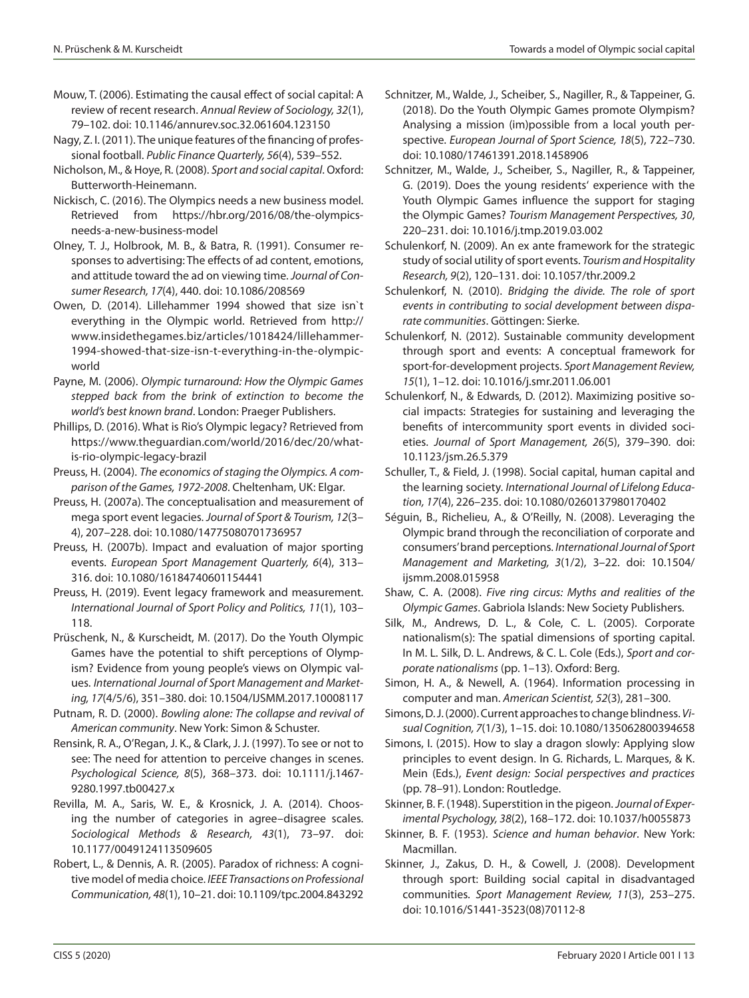- Mouw, T. (2006). Estimating the causal effect of social capital: A review of recent research. *Annual Review of Sociology, 32*(1), 79–102. doi: 10.1146/annurev.soc.32.061604.123150
- Nagy, Z. I. (2011). The unique features of the financing of professional football. *Public Finance Quarterly, 56*(4), 539–552.
- Nicholson, M., & Hoye, R. (2008). *Sport and social capital*. Oxford: Butterworth-Heinemann.
- Nickisch, C. (2016). The Olympics needs a new business model. Retrieved from https://hbr.org/2016/08/the-olympicsneeds-a-new-business-model
- Olney, T. J., Holbrook, M. B., & Batra, R. (1991). Consumer responses to advertising: The effects of ad content, emotions, and attitude toward the ad on viewing time. *Journal of Consumer Research, 17*(4), 440. doi: 10.1086/208569
- Owen, D. (2014). Lillehammer 1994 showed that size isn`t everything in the Olympic world. Retrieved from http:// www.insidethegames.biz/articles/1018424/lillehammer-1994-showed-that-size-isn-t-everything-in-the-olympicworld
- Payne, M. (2006). *Olympic turnaround: How the Olympic Games stepped back from the brink of extinction to become the world's best known brand*. London: Praeger Publishers.
- Phillips, D. (2016). What is Rio's Olympic legacy? Retrieved from https://www.theguardian.com/world/2016/dec/20/whatis-rio-olympic-legacy-brazil
- Preuss, H. (2004). *The economics of staging the Olympics. A comparison of the Games, 1972-2008*. Cheltenham, UK: Elgar.
- Preuss, H. (2007a). The conceptualisation and measurement of mega sport event legacies. *Journal of Sport & Tourism, 12*(3– 4), 207–228. doi: 10.1080/14775080701736957
- Preuss, H. (2007b). Impact and evaluation of major sporting events. *European Sport Management Quarterly, 6*(4), 313– 316. doi: 10.1080/16184740601154441
- Preuss, H. (2019). Event legacy framework and measurement. *International Journal of Sport Policy and Politics, 11*(1), 103– 118.
- Prüschenk, N., & Kurscheidt, M. (2017). Do the Youth Olympic Games have the potential to shift perceptions of Olympism? Evidence from young people's views on Olympic values. *International Journal of Sport Management and Marketing, 17*(4/5/6), 351–380. doi: 10.1504/IJSMM.2017.10008117
- Putnam, R. D. (2000). *Bowling alone: The collapse and revival of American community*. New York: Simon & Schuster.
- Rensink, R. A., O'Regan, J. K., & Clark, J. J. (1997). To see or not to see: The need for attention to perceive changes in scenes. *Psychological Science, 8*(5), 368–373. doi: 10.1111/j.1467- 9280.1997.tb00427.x
- Revilla, M. A., Saris, W. E., & Krosnick, J. A. (2014). Choosing the number of categories in agree–disagree scales. *Sociological Methods & Research, 43*(1), 73–97. doi: 10.1177/0049124113509605
- Robert, L., & Dennis, A. R. (2005). Paradox of richness: A cognitive model of media choice. *IEEE Transactions on Professional Communication, 48*(1), 10–21. doi: 10.1109/tpc.2004.843292
- Schnitzer, M., Walde, J., Scheiber, S., Nagiller, R., & Tappeiner, G. (2018). Do the Youth Olympic Games promote Olympism? Analysing a mission (im)possible from a local youth perspective. *European Journal of Sport Science, 18*(5), 722–730. doi: 10.1080/17461391.2018.1458906
- Schnitzer, M., Walde, J., Scheiber, S., Nagiller, R., & Tappeiner, G. (2019). Does the young residents' experience with the Youth Olympic Games influence the support for staging the Olympic Games? *Tourism Management Perspectives, 30*, 220–231. doi: 10.1016/j.tmp.2019.03.002
- Schulenkorf, N. (2009). An ex ante framework for the strategic study of social utility of sport events. *Tourism and Hospitality Research, 9*(2), 120–131. doi: 10.1057/thr.2009.2
- Schulenkorf, N. (2010). *Bridging the divide. The role of sport events in contributing to social development between disparate communities*. Göttingen: Sierke.
- Schulenkorf, N. (2012). Sustainable community development through sport and events: A conceptual framework for sport-for-development projects. *Sport Management Review, 15*(1), 1–12. doi: 10.1016/j.smr.2011.06.001
- Schulenkorf, N., & Edwards, D. (2012). Maximizing positive social impacts: Strategies for sustaining and leveraging the benefits of intercommunity sport events in divided societies. *Journal of Sport Management, 26*(5), 379–390. doi: 10.1123/jsm.26.5.379
- Schuller, T., & Field, J. (1998). Social capital, human capital and the learning society. *International Journal of Lifelong Education, 17*(4), 226–235. doi: 10.1080/0260137980170402
- Séguin, B., Richelieu, A., & O'Reilly, N. (2008). Leveraging the Olympic brand through the reconciliation of corporate and consumers' brand perceptions. *International Journal of Sport Management and Marketing, 3*(1/2), 3–22. doi: 10.1504/ ijsmm.2008.015958
- Shaw, C. A. (2008). *Five ring circus: Myths and realities of the Olympic Games*. Gabriola Islands: New Society Publishers.
- Silk, M., Andrews, D. L., & Cole, C. L. (2005). Corporate nationalism(s): The spatial dimensions of sporting capital. In M. L. Silk, D. L. Andrews, & C. L. Cole (Eds.), *Sport and corporate nationalisms* (pp. 1–13). Oxford: Berg.
- Simon, H. A., & Newell, A. (1964). Information processing in computer and man. *American Scientist, 52*(3), 281–300.
- Simons, D. J. (2000). Current approaches to change blindness. *Visual Cognition, 7*(1/3), 1–15. doi: 10.1080/135062800394658
- Simons, I. (2015). How to slay a dragon slowly: Applying slow principles to event design. In G. Richards, L. Marques, & K. Mein (Eds.), *Event design: Social perspectives and practices* (pp. 78–91). London: Routledge.

Skinner, B. F. (1948). Superstition in the pigeon. *Journal of Experimental Psychology, 38*(2), 168–172. doi: 10.1037/h0055873

- Skinner, B. F. (1953). *Science and human behavior*. New York: Macmillan.
- Skinner, J., Zakus, D. H., & Cowell, J. (2008). Development through sport: Building social capital in disadvantaged communities. *Sport Management Review, 11*(3), 253–275. doi: 10.1016/S1441-3523(08)70112-8